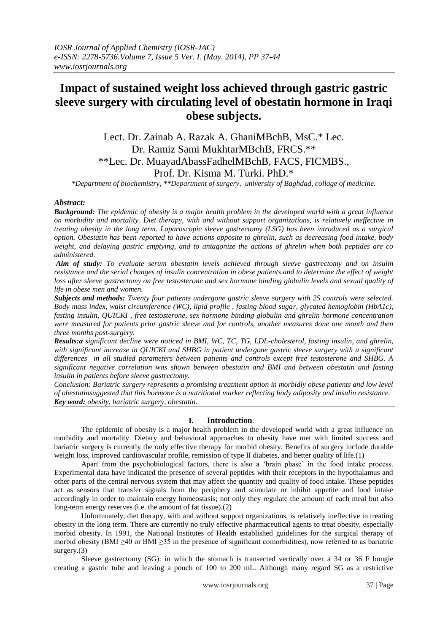# **Impact of sustained weight loss achieved through gastric gastric sleeve surgery with circulating level of obestatin hormone in Iraqi obese subjects.**

Lect. Dr. Zainab A. Razak A. GhaniMBchB, MsC.\* Lec. Dr. Ramiz Sami MukhtarMBchB, FRCS.\*\* \*\*Lec. Dr. MuayadAbassFadhelMBchB, FACS, FICMBS., Prof. Dr. Kisma M. Turki. PhD.\*

*\*Department of biochemistry, \*\*Department of surgery, university of Baghdad, collage of medicine.*

# *Abstract:*

*Background: The epidemic of obesity is a major health problem in the developed world with a great influence on morbidity and mortality. Diet therapy, with and without support organizations, is relatively ineffective in treating obesity in the long term. Laparoscopic sleeve gastrectomy (LSG) has been introduced as a surgical option. Obestatin has been reported to have actions opposite to ghrelin, such as decreasing food intake, body weight, and delaying gastric emptying, and to antagonize the actions of ghrelin when both peptides are co administered.*

*Aim of study: To evaluate serum obestatin levels achieved through sleeve gastrectomy and on insulin resistance and the serial changes of insulin concentration in obese patients and to determine the effect of weight*  loss after sleeve gastrectomy on free testosterone and sex hormone binding globulin levels and sexual quality of *life in obese men and women.*

*Subjects and methods: Twenty four patients undergone gastric sleeve surgery with 25 controls were selected. Body mass index, waist circumference (WC), lipid profile , fasting blood sugar, glycated hemoglobin (HbA1c), fasting insulin, QUICKI , free testosterone, sex hormone binding globulin and ghrelin hormone concentration were measured for patients prior gastric sleeve and for controls, another measures done one month and then three months post-surgery.*

*Results:a significant decline were noticed in BMI, WC, TC, TG, LDL-cholesterol, fasting insulin, and ghrelin,*  with significant increase in *QUICKI* and *SHBG* in patient undergone gastric sleeve surgery with a significant *differences in all studied parameters between patients and controls except free testosterone and SHBG. A significant negative correlation was shown between obestatin and BMI and between obestatin and fasting insulin in patients before sleeve gastrectomy.*

*Conclusion: Bariatric surgery represents a promising treatment option in morbidly obese patients and low level of obestatinsuggested that this hormone is a nutritional marker reflecting body adiposity and insulin resistance. Key word: obesity, bariatric surgery, obestatin.*

# **I. Introduction**:

 The epidemic of obesity is a major health problem in the developed world with a great influence on morbidity and mortality. Dietary and behavioral approaches to obesity have met with limited success and bariatric surgery is currently the only effective therapy for morbid obesity. Benefits of surgery include durable weight loss, improved cardiovascular profile, remission of type II diabetes, and better quality of life.(1)

 Apart from the psychobiological factors, there is also a 'brain phase' in the food intake process. Experimental data have indicated the presence of several peptides with their receptors in the hypothalamus and other parts of the central nervous system that may affect the quantity and quality of food intake. These peptides act as sensors that transfer signals from the periphery and stimulate or inhibit appetite and food intake accordingly in order to maintain energy homeostasis; not only they regulate the amount of each meal but also long-term energy reserves (i.e. the amount of fat tissue).(2)

Unfortunately, diet therapy, with and without support organizations, is relatively ineffective in treating obesity in the long term. There are currently no truly effective pharmaceutical agents to treat obesity, especially morbid obesity. In 1991, the National Institutes of Health established guidelines for the surgical therapy of morbid obesity (BMI ≥40 or BMI ≥35 in the presence of significant comorbidities), now referred to as bariatric surgery.(3)

Sleeve gastrectomy (SG): in which the stomach is transected vertically over a 34 or 36 F bougie creating a gastric tube and leaving a pouch of 100 to 200 mL. Although many regard SG as a restrictive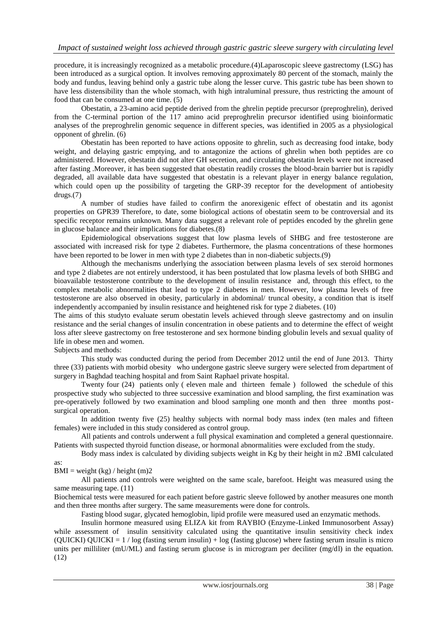procedure, it is increasingly recognized as a metabolic procedure.(4)Laparoscopic sleeve gastrectomy (LSG) has been introduced as a surgical option. It involves removing approximately 80 percent of the stomach, mainly the body and fundus, leaving behind only a gastric tube along the lesser curve. This gastric tube has been shown to have less distensibility than the whole stomach, with high intraluminal pressure, thus restricting the amount of food that can be consumed at one time. (5)

Obestatin, a 23-amino acid peptide derived from the ghrelin peptide precursor (preproghrelin), derived from the C-terminal portion of the 117 amino acid preproghrelin precursor identified using bioinformatic analyses of the preproghrelin genomic sequence in different species, was identified in 2005 as a physiological opponent of ghrelin. (6)

Obestatin has been reported to have actions opposite to ghrelin, such as decreasing food intake, body weight, and delaying gastric emptying, and to antagonize the actions of ghrelin when both peptides are co administered. However, obestatin did not alter GH secretion, and circulating obestatin levels were not increased after fasting .Moreover, it has been suggested that obestatin readily crosses the blood-brain barrier but is rapidly degraded, all available data have suggested that obestatin is a relevant player in energy balance regulation, which could open up the possibility of targeting the GRP-39 receptor for the development of antiobesity drugs.(7)

A number of studies have failed to confirm the anorexigenic effect of obestatin and its agonist properties on GPR39 Therefore, to date, some biological actions of obestatin seem to be controversial and its specific receptor remains unknown. Many data suggest a relevant role of peptides encoded by the ghrelin gene in glucose balance and their implications for diabetes.(8)

Epidemiological observations suggest that low plasma levels of SHBG and free testosterone are associated with increased risk for type 2 diabetes. Furthermore, the plasma concentrations of these hormones have been reported to be lower in men with type 2 diabetes than in non-diabetic subjects.(9)

 Although the mechanisms underlying the association between plasma levels of sex steroid hormones and type 2 diabetes are not entirely understood, it has been postulated that low plasma levels of both SHBG and bioavailable testosterone contribute to the development of insulin resistance and, through this effect, to the complex metabolic abnormalities that lead to type 2 diabetes in men. However, low plasma levels of free testosterone are also observed in obesity, particularly in abdominal/ truncal obesity, a condition that is itself independently accompanied by insulin resistance and heightened risk for type 2 diabetes. (10)

The aims of this studyto evaluate serum obestatin levels achieved through sleeve gastrectomy and on insulin resistance and the serial changes of insulin concentration in obese patients and to determine the effect of weight loss after sleeve gastrectomy on free testosterone and sex hormone binding globulin levels and sexual quality of life in obese men and women.

Subjects and methods:

 This study was conducted during the period from December 2012 until the end of June 2013. Thirty three (33) patients with morbid obesity who undergone gastric sleeve surgery were selected from department of surgery in Baghdad teaching hospital and from Saint Raphael private hospital.

 Twenty four (24) patients only ( eleven male and thirteen female ) followed the schedule of this prospective study who subjected to three successive examination and blood sampling, the first examination was pre-operatively followed by two examination and blood sampling one month and then three months postsurgical operation.

 In addition twenty five (25) healthy subjects with normal body mass index (ten males and fifteen females) were included in this study considered as control group.

 All patients and controls underwent a full physical examination and completed a general questionnaire. Patients with suspected thyroid function disease, or hormonal abnormalities were excluded from the study.

 Body mass index is calculated by dividing subjects weight in Kg by their height in m2 .BMI calculated as:

 $BMI = weight (kg) / height (m)2$ 

 All patients and controls were weighted on the same scale, barefoot. Height was measured using the same measuring tape. (11)

Biochemical tests were measured for each patient before gastric sleeve followed by another measures one month and then three months after surgery. The same measurements were done for controls.

Fasting blood sugar, glycated hemoglobin, lipid profile were measured used an enzymatic methods.

 Insulin hormone measured using ELIZA kit from RAYBIO (Enzyme-Linked Immunosorbent Assay) while assessment of insulin sensitivity calculated using the quantitative insulin sensitivity check index (QUICKI) QUICKI = 1 / log (fasting serum insulin) + log (fasting glucose) where fasting serum insulin is micro units per milliliter (mU/ML) and fasting serum glucose is in microgram per deciliter (mg/dl) in the equation. (12)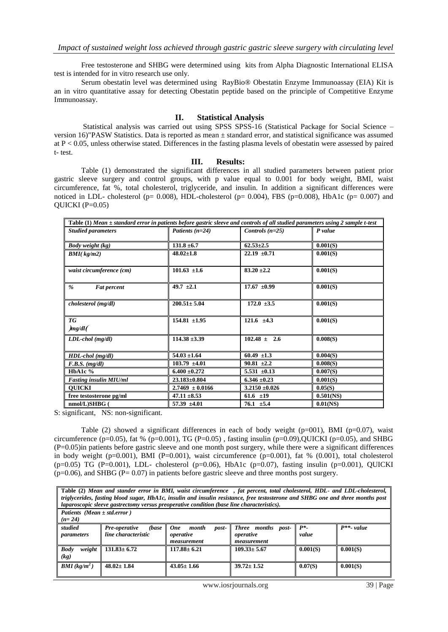Free testosterone and SHBG were determined using kits from Alpha Diagnostic International ELISA test is intended for in vitro research use only.

 Serum obestatin level was determined using RayBio® Obestatin Enzyme Immunoassay (EIA) Kit is an in vitro quantitative assay for detecting Obestatin peptide based on the principle of Competitive Enzyme Immunoassay.

## **II. Statistical Analysis**

 Statistical analysis was carried out using SPSS SPSS-16 (Statistical Package for Social Science – version 16)"PASW Statistics. Data is reported as mean ± standard error, and statistical significance was assumed at  $P < 0.05$ , unless otherwise stated. Differences in the fasting plasma levels of obestatin were assessed by paired t- test.

### **III. Results:**

 Table (1) demonstrated the significant differences in all studied parameters between patient prior gastric sleeve surgery and control groups, with p value equal to 0.001 for body weight, BMI, waist circumference, fat %, total cholesterol, triglyceride, and insulin. In addition a significant differences were noticed in LDL- cholesterol (p= 0.008), HDL-cholesterol (p= 0.004), FBS (p=0.008), HbA1c (p= 0.007) and QUICKI  $(P=0.05)$ 

| Table $(1)$ Mean $\pm$ standard error in patients before gastric sleeve and controls of all studied parameters using 2 sample t-test |                     |                    |              |
|--------------------------------------------------------------------------------------------------------------------------------------|---------------------|--------------------|--------------|
| <b>Studied parameters</b>                                                                                                            | Patients $(n=24)$   | Controls $(n=25)$  | P value      |
| <b>Body weight (kg)</b>                                                                                                              | $131.8 \pm 6.7$     | $62.53 \pm 2.5$    | 0.001(S)     |
| $BMI(\,kg/m2)$                                                                                                                       | $48.02 \pm 1.8$     | $22.19 \pm 0.71$   | 0.001(S)     |
| waist circumference (cm)                                                                                                             | $101.63 \pm 1.6$    | $83.20 \pm 2.2$    | 0.001(S)     |
| %<br><b>Fat percent</b>                                                                                                              | 49.7 $\pm 2.1$      | $17.67 \pm 0.99$   | 0.001(S)     |
| cholesterol (mg/dl)                                                                                                                  | $200.51 \pm 5.04$   | $172.0 \pm 3.5$    | 0.001(S)     |
| <b>TG</b><br>mg/dl                                                                                                                   | $154.81 \pm 1.95$   | $121.6 \pm 4.3$    | 0.001(S)     |
| $LDL$ -chol (mg/dl)                                                                                                                  | $114.38 \pm 3.39$   | $102.48 \pm 2.6$   | 0.008(S)     |
| HDL-chol (mg/dl)                                                                                                                     | $54.03 \pm 1.64$    | 60.49 $\pm 1.3$    | 0.004(S)     |
| $F.B.S.$ (mg/dl)                                                                                                                     | $103.79 \pm 4.01$   | $90.81 \pm 2.2$    | 0.008(S)     |
| HbA1c $%$                                                                                                                            | $6.400 + 0.272$     | 5.531 $\pm 0.13$   | 0.007(S)     |
| <b>Fasting insulin MIU/ml</b>                                                                                                        | $23.183 \pm 0.804$  | $6.346 \pm 0.23$   | 0.001(S)     |
| <b>OUICKI</b>                                                                                                                        | $2.7469 \pm 0.0166$ | $3.2150 \pm 0.026$ | 0.05(S)      |
| free testosterone pg/ml                                                                                                              | $47.11 \pm 8.53$    | $61.6$ $\pm 19$    | $0.501$ (NS) |
| nmol/L)SHBG (                                                                                                                        | $57.39 \pm 4.01$    | $76.1 \pm 5.4$     | $0.01$ (NS)  |

S: significant, NS: non-significant.

Table (2) showed a significant differences in each of body weight ( $p=001$ ), BMI ( $p=0.07$ ), waist circumference (p=0.05), fat % (p=0.001), TG (P=0.05), fasting insulin (p=0.09),QUICKI (p=0.05), and SHBG (P=0.05)in patients before gastric sleeve and one month post surgery, while there were a significant differences in body weight ( $p=0.001$ ), BMI ( $P=0.001$ ), waist circumference ( $p=0.001$ ), fat % (0.001), total cholesterol  $(p=0.05)$  TG (P=0.001), LDL- cholesterol (p=0.06), HbA1c (p=0.07), fasting insulin (p=0.001), QUICKI  $(p=0.06)$ , and SHBG (P= 0.07) in patients before gastric sleeve and three months post surgery.

| Table (2) Mean and stander error in BMI, waist circumference, fat percent, total cholesterol, HDL- and LDL-cholesterol,<br>triglycerides, fasting blood sugar, HbA1c, insulin and insulin resistance, free testosterone and SHBG one and three months post |                                                                                            |                                                          |                                                |                  |                |
|------------------------------------------------------------------------------------------------------------------------------------------------------------------------------------------------------------------------------------------------------------|--------------------------------------------------------------------------------------------|----------------------------------------------------------|------------------------------------------------|------------------|----------------|
|                                                                                                                                                                                                                                                            | laparoscopic sleeve gastrectomy versus preoperative condition (base line characteristics). |                                                          |                                                |                  |                |
| Patients (Mean $\pm$ std.error)<br>$(n=24)$                                                                                                                                                                                                                |                                                                                            |                                                          |                                                |                  |                |
| studied<br><i>parameters</i>                                                                                                                                                                                                                               | <b>Pre-operative</b><br>(base<br>line characteristic                                       | <b>One</b><br>month<br>post-<br>operative<br>measurement | Three months post-<br>operative<br>measurement | $P^*$ .<br>value | $P^{**}$ value |
| weight<br><b>Body</b><br>(kg)                                                                                                                                                                                                                              | $131.83 \pm 6.72$                                                                          | $117.88 \pm 6.21$                                        | $109.33 \pm 5.67$                              | 0.001(S)         | 0.001(S)       |
| <b>BMI</b> ( $kg/m^2$ )                                                                                                                                                                                                                                    | $48.02 \pm 1.84$                                                                           | $43.05 \pm 1.66$                                         | $39.72 \pm 1.52$                               | 0.07(S)          | 0.001(S)       |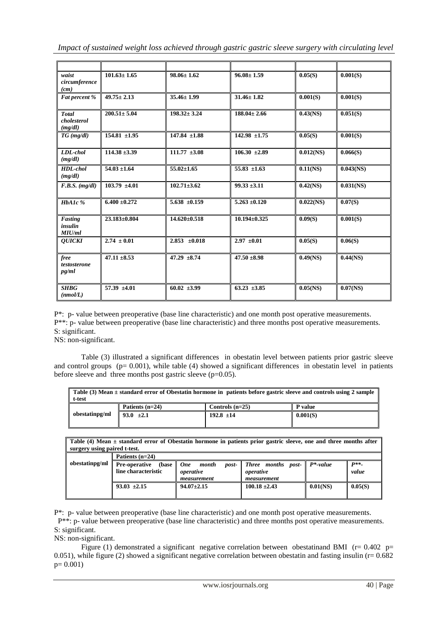*Impact of sustained weight loss achieved through gastric gastric sleeve surgery with circulating level* 

| waist<br>circumference<br>(cm)         | $101.63 \pm 1.65$  | $98.06 \pm 1.62$   | $96.08 \pm 1.59$   | 0.05(S)      | 0.001(S)             |
|----------------------------------------|--------------------|--------------------|--------------------|--------------|----------------------|
| Fat percent %                          | $49.75 \pm 2.13$   | $35.46 \pm 1.99$   | $31.46 \pm 1.82$   | 0.001(S)     | 0.001(S)             |
| <b>Total</b><br>cholesterol<br>(mg/dl) | $200.51 \pm 5.04$  | $198.32 \pm 3.24$  | $188.04 \pm 2.66$  | $0.43$ (NS)  | 0.051(S)             |
| $TG$ (mg/dl)                           | $154.81 \pm 1.95$  | $147.84 \pm 1.88$  | $142.98 \pm 1.75$  | 0.05(S)      | 0.001(S)             |
| LDL-chol<br>(mg/dl)                    | $114.38 \pm 3.39$  | $111.77 \pm 3.08$  | $106.30 \pm 2.89$  | $0.012$ (NS) | 0.066(S)             |
| HDL-chol<br>(mg/dl)                    | $54.03 \pm 1.64$   | $55.02 \pm 1.65$   | $55.83 \pm 1.63$   | 0.11(NS)     | $0.043$ (NS)         |
| $F.B.S.$ (mg/dl)                       | $103.79 \pm 4.01$  | $102.71 \pm 3.62$  | $99.33 \pm 3.11$   | $0.42$ (NS)  | $0.031$ (NS)         |
| $HbA1c$ %                              | $6.400 \pm 0.272$  | $5.638 \pm 0.159$  | $5.263 \pm 0.120$  | $0.022$ (NS) | $\overline{0.07(S)}$ |
| Fasting<br>insulin<br>MIU/ml           | $23.183 \pm 0.804$ | $14.620 \pm 0.518$ | $10.194 \pm 0.325$ | 0.09(S)      | 0.001(S)             |
| <b>OUICKI</b>                          | $2.74 \pm 0.01$    | $2.853 \pm 0.018$  | $2.97 \pm 0.01$    | 0.05(S)      | 0.06(S)              |
| free<br>testosterone<br>pg/ml          | $47.11 \pm 8.53$   | $47.29 \pm 8.74$   | $47.50 \pm 8.98$   | 0.49(NS)     | 0.44(NS)             |
| <b>SHBG</b><br>(mmol/L)                | $57.39 \pm 4.01$   | $60.02 \pm 3.99$   | $63.23 + 3.85$     | $0.05$ (NS)  | 0.07(NS)             |

P\*: p- value between preoperative (base line characteristic) and one month post operative measurements. P\*\*: p- value between preoperative (base line characteristic) and three months post operative measurements. S: significant.

NS: non-significant.

Table (3) illustrated a significant differences in obestatin level between patients prior gastric sleeve and control groups ( $p= 0.001$ ), while table (4) showed a significant differences in obestatin level in patients before sleeve and three months post gastric sleeve  $(p=0.05)$ .

| Table (3) Mean $\pm$ standard error of Obestatin hormone in patients before gastric sleeve and controls using 2 sample<br>t-test |                   |                   |          |
|----------------------------------------------------------------------------------------------------------------------------------|-------------------|-------------------|----------|
| obestatinpg/ml                                                                                                                   | Patients $(n=24)$ | Controls $(n=25)$ | P value  |
|                                                                                                                                  | 93.0 $\pm 2.1$    | $192.8 \pm 14$    | 0.001(S) |

**Table (4) Mean ± standard error of Obestatin hormone in patients prior gastric sleeve, one and three months after surgery using paired t-test.**

|                | Patients $(n=24)$              |                                |                                        |          |         |  |
|----------------|--------------------------------|--------------------------------|----------------------------------------|----------|---------|--|
| obestatinpg/ml | <b>Pre-operative</b><br>(base) | <b>One</b><br>month<br>$post-$ | <b>Three</b> months post- $P^*$ -value |          | $P**$   |  |
|                | line characteristic            | operative                      | operative                              |          | value   |  |
|                |                                | measurement                    | measurement                            |          |         |  |
|                | $93.03 \pm 2.15$               | $94.07 \pm 2.15$               | $100.18 \pm 2.43$                      | 0.01(NS) | 0.05(S) |  |
|                |                                |                                |                                        |          |         |  |

P\*: p- value between preoperative (base line characteristic) and one month post operative measurements.

 P\*\*: p- value between preoperative (base line characteristic) and three months post operative measurements. S: significant.

NS: non-significant.

Figure (1) demonstrated a significant negative correlation between obestatinand BMI ( $r= 0.402$  p= 0.051), while figure (2) showed a significant negative correlation between obestatin and fasting insulin ( $r= 0.682$ )  $p= 0.001$ )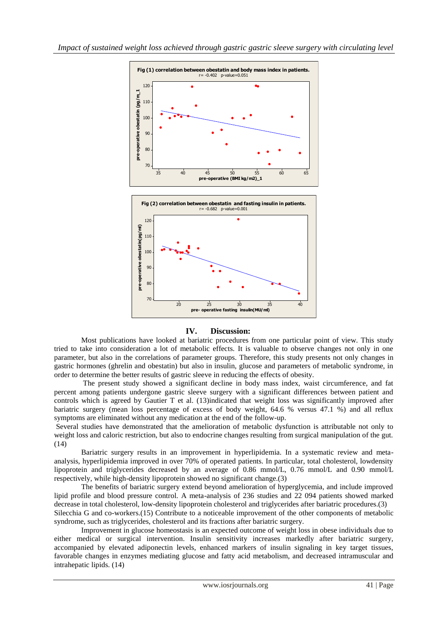

# **IV. Discussion:**

Most publications have looked at bariatric procedures from one particular point of view. This study tried to take into consideration a lot of metabolic effects. It is valuable to observe changes not only in one parameter, but also in the correlations of parameter groups. Therefore, this study presents not only changes in gastric hormones (ghrelin and obestatin) but also in insulin, glucose and parameters of metabolic syndrome, in order to determine the better results of gastric sleeve in reducing the effects of obesity.

 The present study showed a significant decline in body mass index, waist circumference, and fat percent among patients undergone gastric sleeve surgery with a significant differences between patient and controls which is agreed by Gautier T et al. (13)indicated that weight loss was significantly improved after bariatric surgery (mean loss percentage of excess of body weight, 64.6 % versus 47.1 %) and all reflux symptoms are eliminated without any medication at the end of the follow-up.

Several studies have demonstrated that the amelioration of metabolic dysfunction is attributable not only to weight loss and caloric restriction, but also to endocrine changes resulting from surgical manipulation of the gut. (14)

 Bariatric surgery results in an improvement in hyperlipidemia. In a systematic review and metaanalysis, hyperlipidemia improved in over 70% of operated patients. In particular, total cholesterol, lowdensity lipoprotein and triglycerides decreased by an average of 0.86 mmol/L, 0.76 mmol/L and 0.90 mmol/L respectively, while high-density lipoprotein showed no significant change.(3)

 The benefits of bariatric surgery extend beyond amelioration of hyperglycemia, and include improved lipid profile and blood pressure control. A meta-analysis of 236 studies and 22 094 patients showed marked decrease in total cholesterol, low-density lipoprotein cholesterol and triglycerides after bariatric procedures.(3) Silecchia G and co-workers.(15) Contribute to a noticeable improvement of the other components of metabolic syndrome, such as triglycerides, cholesterol and its fractions after bariatric surgery.

 Improvement in glucose homeostasis is an expected outcome of weight loss in obese individuals due to either medical or surgical intervention. Insulin sensitivity increases markedly after bariatric surgery, accompanied by elevated adiponectin levels, enhanced markers of insulin signaling in key target tissues, favorable changes in enzymes mediating glucose and fatty acid metabolism, and decreased intramuscular and intrahepatic lipids. (14)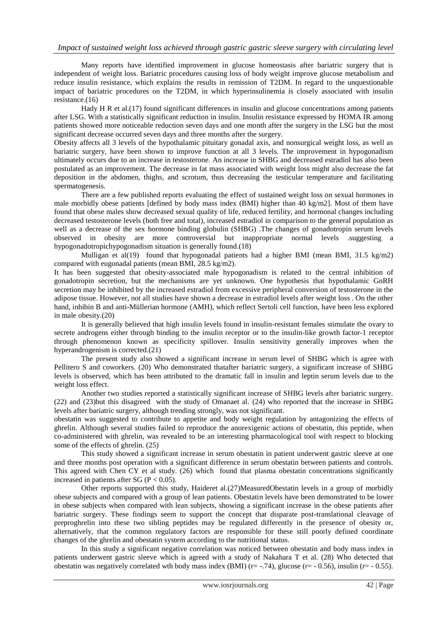Many reports have identified improvement in glucose homeostasis after bariatric surgery that is independent of weight loss. Bariatric procedures causing loss of body weight improve glucose metabolism and reduce insulin resistance, which explains the results in remission of T2DM. In regard to the unquestionable impact of bariatric procedures on the T2DM, in which hyperinsulinemia is closely associated with insulin resistance.(16)

Hady H R et al.(17) found significant differences in insulin and glucose concentrations among patients after LSG. With a statistically significant reduction in insulin. Insulin resistance expressed by HOMA IR among patients showed more noticeable reduction seven days and one month after the surgery in the LSG but the most significant decrease occurred seven days and three months after the surgery.

Obesity affects all 3 levels of the hypothalamic pituitary gonadal axis, and nonsurgical weight loss, as well as bariatric surgery, have been shown to improve function at all 3 levels. The improvement in hypogonadism ultimately occurs due to an increase in testosterone. An increase in SHBG and decreased estradiol has also been postulated as an improvement. The decrease in fat mass associated with weight loss might also decrease the fat deposition in the abdomen, thighs, and scrotum, thus decreasing the testicular temperature and facilitating spermatogenesis.

 There are a few published reports evaluating the effect of sustained weight loss on sexual hormones in male morbidly obese patients [defined by body mass index (BMI) higher than 40 kg/m2]. Most of them have found that obese males show decreased sexual quality of life, reduced fertility, and hormonal changes including decreased testosterone levels (both free and total), increased estradiol in comparison to the general population as well as a decrease of the sex hormone binding globulin (SHBG) .The changes of gonadotropin serum levels observed in obesity are more controversial but inappropriate normal levels .suggesting a hypogonadotropichypogonadism situation is generally found.(18)

Mulligan et al(19) found that hypogonadal patients had a higher BMI (mean BMI,  $31.5 \text{ kg/m2}$ ) compared with eugonadal patients (mean BMI, 28.5 kg/m2).

It has been suggested that obesity-associated male hypogonadism is related to the central inhibition of gonadotropin secretion, but the mechanisms are yet unknown. One hypothesis that hypothalamic GnRH secretion may be inhibited by the increased estradiol from excessive peripheral conversion of testosterone in the adipose tissue. However, not all studies have shown a decrease in estradiol levels after weight loss . On the other hand, inhibin B and anti-Müllerian hormone (AMH), which reflect Sertoli cell function, have been less explored in male obesity.(20)

 It is generally believed that high insulin levels found in insulin-resistant females stimulate the ovary to secrete androgens either through binding to the insulin receptor or to the insulin-like growth factor-1 receptor through phenomenon known as specificity spillover. Insulin sensitivity generally improves when the hyperandrogenism is corrected.(21)

The present study also showed a significant increase in serum level of SHBG which is agree with Pellitero S and coworkers. (20) Who demonstrated thatafter bariatric surgery, a significant increase of SHBG levels is observed, which has been attributed to the dramatic fall in insulin and leptin serum levels due to the weight loss effect.

 Another two studies reported a statistically significant increase of SHBG levels after bariatric surgery. (22) and (23)but this disagreed with the study of Omanaet al. (24) who reported that the increase in SHBG levels after bariatric surgery, although trending strongly, was not significant.

obestatin was suggested to contribute to appetite and body weight regulation by antagonizing the effects of ghrelin. Although several studies failed to reproduce the anorexigenic actions of obestatin, this peptide, when co-administered with ghrelin, was revealed to be an interesting pharmacological tool with respect to blocking some of the effects of ghrelin. (25)

This study showed a significant increase in serum obestatin in patient underwent gastric sleeve at one and three months post operation with a significant difference in serum obestatin between patients and controls. This agreed with Chen CY et al study. (26) which found that plasma obestatin concentrations significantly increased in patients after SG ( $P < 0.05$ ).

Other reports supported this study, Haideret al.(27)MeasuredObestatin levels in a group of morbidly obese subjects and compared with a group of lean patients. Obestatin levels have been demonstrated to be lower in obese subjects when compared with lean subjects, showing a significant increase in the obese patients after bariatric surgery. These findings seem to support the concept that disparate post-translational cleavage of preproghrelin into these two sibling peptides may be regulated differently in the presence of obesity or, alternatively, that the common regulatory factors are responsible for these still poorly defined coordinate changes of the ghrelin and obestatin system according to the nutritional status.

In this study a significant negative correlation was noticed between obestatin and body mass index in patients underwent gastric sleeve which is agreed with a study of Nakahara T et al. (28) Who detected that obestatin was negatively correlated wth body mass index (BMI) ( $r=-.74$ ), glucose ( $r=-0.56$ ), insulin ( $r=-0.55$ ).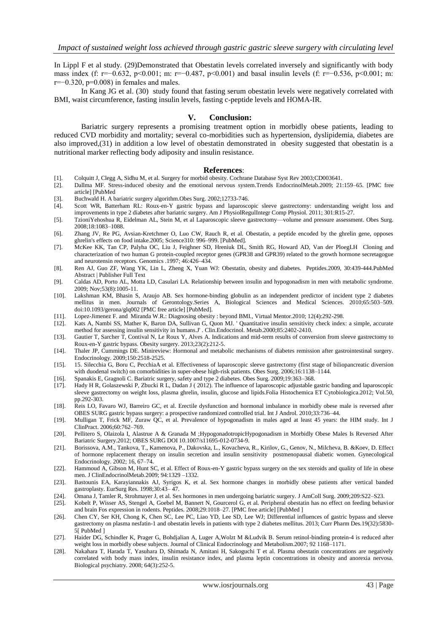In Lippl F et al study. (29)Demonstrated that Obestatin levels correlated inversely and significantly with body mass index (f: r=−0.632, p<0.001; m: r=−0.487, p<0.001) and basal insulin levels (f: r=−0.536, p<0.001; m: r=−0.320, p=0.008) in females and males.

In Kang JG et al. (30) study found that fasting serum obestatin levels were negatively correlated with BMI, waist circumference, fasting insulin levels, fasting c-peptide levels and HOMA-IR.

#### **V. Conclusion:**

Bariatric surgery represents a promising treatment option in morbidly obese patients, leading to reduced CVD morbidity and mortality; several co-morbidities such as hypertension, dyslipidemia, diabetes are also improved,(31) in addition a low level of obestatin demonstrated in obesity suggested that obestatin is a nutritional marker reflecting body adiposity and insulin resistance.

#### **References**:

- [1]. Colquitt J, Clegg A, Sidhu M, et al. Surgery for morbid obesity. Cochrane Database Syst Rev 2003;CD003641.
- [2]. Dallma MF. Stress-induced obesity and the emotional nervous system.Trends EndocrinolMetab.2009; 21:159–65. [PMC free article] [PubMed
- [3]. Buchwald H. A bariatric surgery algorithm.Obes Surg. 2002;12733-746.
- [4]. Scott WR, Batterham RL: Roux-en-Y gastric bypass and laparoscopic sleeve gastrectomy: understanding weight loss and improvements in type 2 diabetes after bariatric surgery. Am J PhysiolRegulIntegr Comp Physiol. 2011; 301:R15-27.
- [5]. TzioniYehoshua R, Eidelman AL, Stein M, et al Laparoscopic sleeve gastrectomy—volume and pressure assessment. Obes Surg. 2008;18:1083–1088.
- [6]. Zhang JV, Re PG, Avsian-Kretchmer O, Luo CW, Rauch R, et al. Obestatin, a peptide encoded by the ghrelin gene, opposes ghrelin's effects on food intake.2005; Science310: 996–999. [PubMed].
- [7]. McKee KK, Tan CP, Palyha OC, Liu J, Feighner SD, Hreniuk DL, Smith RG, Howard AD, Van der PloegLH Cloning and characterization of two human G protein-coupled receptor genes (GPR38 and GPR39) related to the growth hormone secretagogue and neurotensin receptors. Genomics .1997; 46:426–434.
- [8]. Ren AJ, Guo ZF, Wang YK, Lin L, Zheng X, Yuan WJ: Obestatin, obesity and diabetes. Peptides.2009, 30:439-444.PubMed Abstract | Publisher Full Text
- [9]. Caldas AD, Porto AL, Motta LD, Casulari LA. Relationship between insulin and hypogonadism in men with metabolic syndrome. 2009; Nov;53(8):1005-11.
- [10]. Lakshman KM, Bhasin S, Araujo AB. Sex hormone-binding globulin as an independent predictor of incident type 2 diabetes mellitus in men. Journals of Gerontology.Series A, Biological Sciences and Medical Sciences. 2010;65:503–509. doi:10.1093/gerona/glq002 [PMC free article] [PubMed].
- [11]. Lopez-Jimenez F. and Miranda W.R.: Diagnosing obesity : beyond BMI., Virtual Mentor.2010; 12(4):292-298.
- [12]. Kats A, Nambi SS, Mather K, Baron DA, Sullivan G, Quon MJ. ' Quantitative insulin sensitivity check index: a simple, accurate method for assessing insulin sensitivity in humans.J' . Clin.Endocrinol. Metab.2000;85:2402-2410.
- [13]. Gautier T, Sarcher T, Contival N, Le Roux Y, Alves A. Indications and mid-term results of conversion from sleeve gastrectomy to Roux-en-Y gastric bypass. Obesity surgery. 2013;23(2):212-5.
- [14]. Thaler JP, Cummings DE. Minireview: Hormonal and metabolic mechanisms of diabetes remission after gastrointestinal surgery. Endocrinology. 2009;150:2518-2525.
- [15]. 15. Silecchia G, Boru C, PecchiaA et al. Effectiveness of laparoscopic sleeve gastrectomy (first stage of biliopancreatic diversion with duodenal switch) on comorbidities in super-obese high-risk patients. Obes Surg. 2006;16:1138–1144.
- [16]. Spanakis E, Gragnoli C. Bariatric surgery, safety and type 2 diabetes. Obes Surg. 2009;19:363–368.
- [17]. Hady H R, Golaszewski P, Zbucki R L, Dadan J ( 2012). The influence of laparoscopic adjustable gastric banding and laparoscopic sleeve gastrectomy on weight loss, plasma ghrelin, insulin, glucose and lipids.Folia Histochemica ET Cytobiologica.2012; Vol.50, pp.292-303.
- [18]. Reis LO, Favaro WJ, Barreiro GC, et al. Erectile dysfunction and hormonal imbalance in morbidly obese male is reversed after OBES SURG gastric bypass surgery: a prospective randomized controlled trial. Int J Androl. 2010;33:736–44.
- [19]. Mulligan T, Frick MF, Zuraw QC, et al. Prevalence of hypogonadism in males aged at least 45 years: the HIM study. Int J ClinPract. 2006;60:762–769.
- [20]. Pellitero S, Olaizola I, Alastrue A & Granada M ;HypogonadotropicHypogonadism in Morbidly Obese Males Is Reversed After Bariatric Surgery.2012; OBES SURG DOI 10.1007/s11695-012-0734-9.
- [21]. Borissova, A.M., Tankova, T., Kamenova, P., Dakovska, L., Kovacheva, R., Kirilov, G., Genov, N., Milcheva, B. &Koev, D. Effect of hormone replacement therapy on insulin secretion and insulin sensitivity postmenopausal diabetic women. Gynecological Endocrinology. 2002; 16, 67–74.
- [22]. Hammoud A, Gibson M, Hunt SC, et al. Effect of Roux-en-Y gastric bypass surgery on the sex steroids and quality of life in obese men. J ClinEndocrinolMetab.2009; 94:1329 –1332.
- [23]. Bastounis EA, Karayiannakis AJ, Syrigos K, et al. Sex hormone changes in morbidly obese patients after vertical banded gastroplasty. EurSurg Res. 1998;30:43– 47.
- [24]. Omana J, Tamler R, Strohmayer J, et al. Sex hormones in men undergoing bariatric surgery. J AmColl Surg. 2009;209:S22–S23.
- [25]. Kobelt P, Wisser AS, Stengel A, Goebel M, Bannert N, Gourcerol G, et al. Peripheral obestatin has no effect on feeding behavior and brain Fos expression in rodents. Peptides. 2008;29:1018–27. [PMC free article] [PubMed ]
- [26]. Chen CY, Ser KH, Chong K, Chen SC, Lee PC, Liao YD, Lee SD, Lee WJ; Differential influences of gastric bypass and sleeve gastrectomy on plasma nesfatin-1 and obestatin levels in patients with type 2 diabetes mellitus. 2013; Curr Pharm Des.19(32):5830- 5[ PubMed ]
- [27]. Haider DG, Schindler K, Prager G, Bohdjalian A, Luger A,Wolzt M &Ludvik B. Serum retinol-binding protein-4 is reduced after weight loss in morbidly obese subjects. Journal of Clinical Endocrinology and Metabolism.2007; 92 1168–1171.
- [28]. Nakahara T, Harada T, Yasuhara D, Shimada N, Amitani H, Sakoguchi T et al. Plasma obestatin concentrations are negatively correlated with body mass index, insulin resistance index, and plasma leptin concentrations in obesity and anorexia nervosa. Biological psychiatry. 2008; 64(3):252-5.